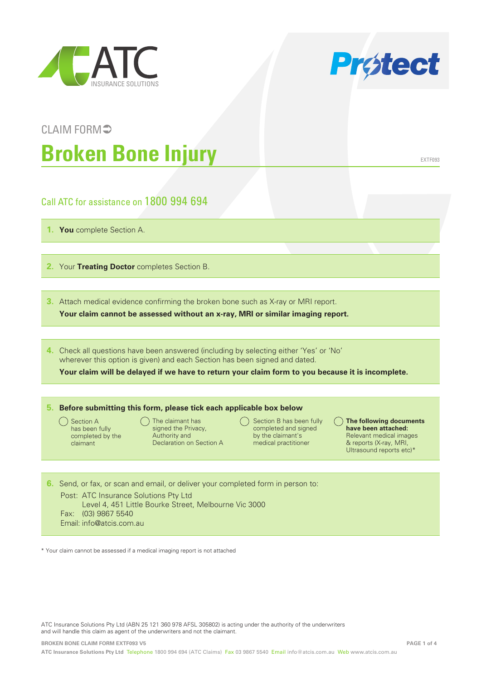



# CLAIM FORM<sup>5</sup> **Broken Bone Injury**

EXTF093

## Call ATC for assistance on 1800 994 694

**1. You** complete Section A.

**2.** Your **Treating Doctor** completes Section B.

**3.** Attach medical evidence confirming the broken bone such as X-ray or MRI report.

**Your claim cannot be assessed without an x-ray, MRI or similar imaging report.**

**4.** Check all questions have been answered (including by selecting either 'Yes' or 'No' wherever this option is given) and each Section has been signed and dated.

**Your claim will be delayed if we have to return your claim form to you because it is incomplete.**

#### **5. Before submitting this form, please tick each applicable box below**

Section A has been fully completed by the claimant

- $\bigcap$  The claimant has signed the Privacy, Authority and Declaration on Section A
- $\bigcap$  Section B has been fully completed and signed by the claimant's medical practitioner
- **The following documents have been attached:** Relevant medical images & reports (X-ray, MRI, Ultrasound reports etc)\*

**6.** Send, or fax, or scan and email, or deliver your completed form in person to: Post: ATC Insurance Solutions Pty Ltd Level 4, 451 Little Bourke Street, Melbourne Vic 3000 Fax: (03) 9867 5540 Email: info@atcis.com.au

\* Your claim cannot be assessed if a medical imaging report is not attached

ATC Insurance Solutions Pty Ltd (ABN 25 121 360 978 AFSL 305802) is acting under the authority of the underwriters and will handle this claim as agent of the underwriters and not the claimant.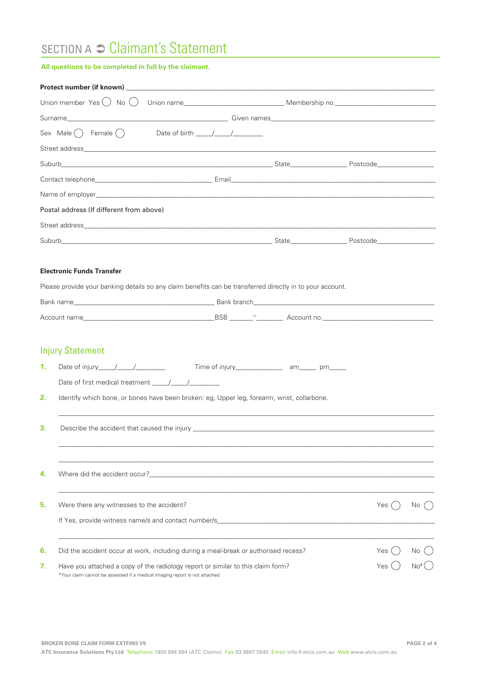## SECTION A <sup>○</sup> Claimant's Statement

#### **All questions to be completed in full by the claimant.**

|    | Union member $Yes() No()$                                                  |                                                                                                           |  |       |       |
|----|----------------------------------------------------------------------------|-----------------------------------------------------------------------------------------------------------|--|-------|-------|
|    |                                                                            |                                                                                                           |  |       |       |
|    | Sex Male $( )$ Female $( )$                                                |                                                                                                           |  |       |       |
|    |                                                                            |                                                                                                           |  |       |       |
|    |                                                                            |                                                                                                           |  |       |       |
|    |                                                                            |                                                                                                           |  |       |       |
|    |                                                                            |                                                                                                           |  |       |       |
|    | Postal address (If different from above)                                   |                                                                                                           |  |       |       |
|    |                                                                            |                                                                                                           |  |       |       |
|    |                                                                            |                                                                                                           |  |       |       |
|    |                                                                            |                                                                                                           |  |       |       |
|    | <b>Electronic Funds Transfer</b>                                           |                                                                                                           |  |       |       |
|    |                                                                            | Please provide your banking details so any claim benefits can be transferred directly in to your account. |  |       |       |
|    |                                                                            |                                                                                                           |  |       |       |
|    |                                                                            |                                                                                                           |  |       |       |
|    |                                                                            |                                                                                                           |  |       |       |
|    | <b>Injury Statement</b>                                                    |                                                                                                           |  |       |       |
| 1. |                                                                            |                                                                                                           |  |       |       |
|    |                                                                            |                                                                                                           |  |       |       |
| 2. |                                                                            | Identify which bone, or bones have been broken: eg, Upper leg, forearm, wrist, collarbone.                |  |       |       |
|    |                                                                            |                                                                                                           |  |       |       |
| З. |                                                                            |                                                                                                           |  |       |       |
|    |                                                                            |                                                                                                           |  |       |       |
|    |                                                                            |                                                                                                           |  |       |       |
| 4. |                                                                            |                                                                                                           |  |       |       |
|    |                                                                            |                                                                                                           |  |       |       |
| 5. | Were there any witnesses to the accident?                                  |                                                                                                           |  | Yes   | No l  |
|    |                                                                            |                                                                                                           |  |       |       |
|    |                                                                            |                                                                                                           |  |       |       |
| 6. |                                                                            | Did the accident occur at work, including during a meal-break or authorised recess?                       |  | Yes ( | No.   |
| 7. |                                                                            | Have you attached a copy of the radiology report or similar to this claim form?                           |  | Yes   | $No*$ |
|    | *Your claim cannot be assessed if a medical imaging report is not attached |                                                                                                           |  |       |       |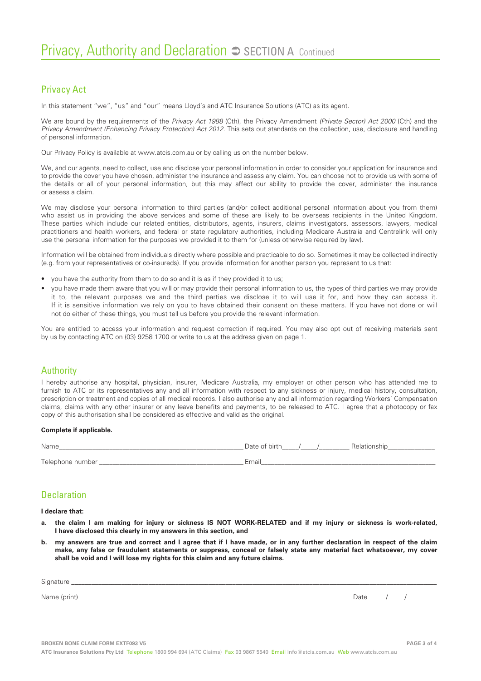### Privacy Act

In this statement "we", "us" and "our" means Lloyd's and ATC Insurance Solutions (ATC) as its agent.

We are bound by the requirements of the *Privacy Act 1988* (Cth), the Privacy Amendment *(Private Sector) Act 2000* (Cth) and the *Privacy Amendment (Enhancing Privacy Protection) Act 2012*. This sets out standards on the collection, use, disclosure and handling of personal information.

Our Privacy Policy is available at www.atcis.com.au or by calling us on the number below.

We, and our agents, need to collect, use and disclose your personal information in order to consider your application for insurance and to provide the cover you have chosen, administer the insurance and assess any claim. You can choose not to provide us with some of the details or all of your personal information, but this may affect our ability to provide the cover, administer the insurance or assess a claim.

We may disclose your personal information to third parties (and/or collect additional personal information about you from them) who assist us in providing the above services and some of these are likely to be overseas recipients in the United Kingdom. These parties which include our related entities, distributors, agents, insurers, claims investigators, assessors, lawyers, medical practitioners and health workers, and federal or state regulatory authorities, including Medicare Australia and Centrelink will only use the personal information for the purposes we provided it to them for (unless otherwise required by law).

Information will be obtained from individuals directly where possible and practicable to do so. Sometimes it may be collected indirectly (e.g. from your representatives or co-insureds). If you provide information for another person you represent to us that:

- you have the authority from them to do so and it is as if they provided it to us;
- you have made them aware that you will or may provide their personal information to us, the types of third parties we may provide it to, the relevant purposes we and the third parties we disclose it to will use it for, and how they can access it. If it is sensitive information we rely on you to have obtained their consent on these matters. If you have not done or will not do either of these things, you must tell us before you provide the relevant information.

You are entitled to access your information and request correction if required. You may also opt out of receiving materials sent by us by contacting ATC on (03) 9258 1700 or write to us at the address given on page 1.

#### Authority

I hereby authorise any hospital, physician, insurer, Medicare Australia, my employer or other person who has attended me to furnish to ATC or its representatives any and all information with respect to any sickness or injury, medical history, consultation, prescription or treatment and copies of all medical records. I also authorise any and all information regarding Workers' Compensation claims, claims with any other insurer or any leave benefits and payments, to be released to ATC. I agree that a photocopy or fax copy of this authorisation shall be considered as effective and valid as the original.

#### **Complete if applicable.**

| Name             | Date of birth<br>Relationship |
|------------------|-------------------------------|
| Telephone number | Email                         |

### Declaration

**I declare that:**

- **a. the claim I am making for injury or sickness IS NOT WORK-RELATED and if my injury or sickness is work-related, I have disclosed this clearly in my answers in this section, and**
- **b. my answers are true and correct and I agree that if I have made, or in any further declaration in respect of the claim make, any false or fraudulent statements or suppress, conceal or falsely state any material fact whatsoever, my cover shall be void and I will lose my rights for this claim and any future claims.**

| Signature    |      |  |
|--------------|------|--|
| Name (print) | Date |  |